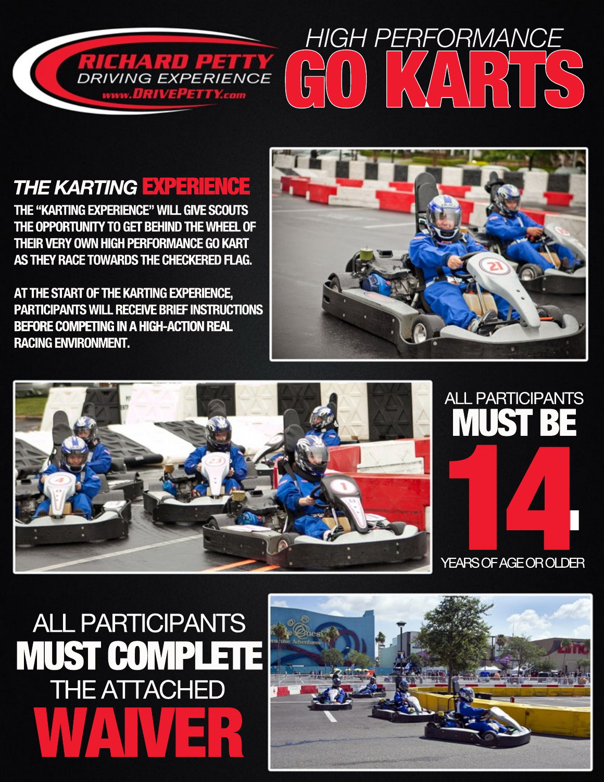

# *HIGHPERFORMANCE* GOKARTS

## *THE KARTING EXPERIENCE*

**THE "KARTING EXPERIENCE" WILL GIVE SCOUTS THE OPPORTUNITY TO GET BEHIND THE WHEEL OF THEIR VERY OWN HIGH PERFORMANCE GO KART AS THEY RACE TOWARDS THE CHECKERED FLAG.** 

**AT THE START OF THE KARTING EXPERIENCE, PARTICIPANTS WILL RECEIVE BRIEF INSTRUCTIONS BEFORE COMPETING IN A HIGH-ACTION REAL RACING ENVIRONMENT.**